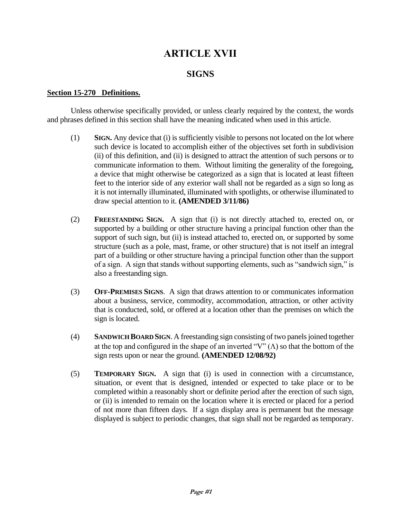# **ARTICLE XVII**

## **SIGNS**

#### **Section 15-270 Definitions.**

Unless otherwise specifically provided, or unless clearly required by the context, the words and phrases defined in this section shall have the meaning indicated when used in this article.

- (1) **SIGN.** Any device that (i) is sufficiently visible to persons not located on the lot where such device is located to accomplish either of the objectives set forth in subdivision (ii) of this definition, and (ii) is designed to attract the attention of such persons or to communicate information to them. Without limiting the generality of the foregoing, a device that might otherwise be categorized as a sign that is located at least fifteen feet to the interior side of any exterior wall shall not be regarded as a sign so long as it is not internally illuminated, illuminated with spotlights, or otherwise illuminated to draw special attention to it. **(AMENDED 3/11/86)**
- (2) **FREESTANDING SIGN.** A sign that (i) is not directly attached to, erected on, or supported by a building or other structure having a principal function other than the support of such sign, but (ii) is instead attached to, erected on, or supported by some structure (such as a pole, mast, frame, or other structure) that is not itself an integral part of a building or other structure having a principal function other than the support of a sign. A sign that stands without supporting elements, such as "sandwich sign," is also a freestanding sign.
- (3) **OFF-PREMISES SIGNS**. A sign that draws attention to or communicates information about a business, service, commodity, accommodation, attraction, or other activity that is conducted, sold, or offered at a location other than the premises on which the sign is located.
- (4) **SANDWICH BOARD SIGN**. A freestanding sign consisting of two panels joined together at the top and configured in the shape of an inverted " $V$ " ( $\Lambda$ ) so that the bottom of the sign rests upon or near the ground. **(AMENDED 12/08/92)**
- (5) **TEMPORARY SIGN.** A sign that (i) is used in connection with a circumstance, situation, or event that is designed, intended or expected to take place or to be completed within a reasonably short or definite period after the erection of such sign, or (ii) is intended to remain on the location where it is erected or placed for a period of not more than fifteen days. If a sign display area is permanent but the message displayed is subject to periodic changes, that sign shall not be regarded as temporary.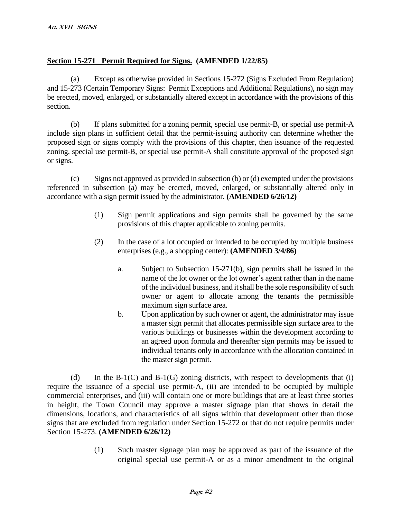## **Section 15-271 Permit Required for Signs. (AMENDED 1/22/85)**

(a) Except as otherwise provided in Sections 15-272 (Signs Excluded From Regulation) and 15-273 (Certain Temporary Signs: Permit Exceptions and Additional Regulations), no sign may be erected, moved, enlarged, or substantially altered except in accordance with the provisions of this section.

(b) If plans submitted for a zoning permit, special use permit-B, or special use permit-A include sign plans in sufficient detail that the permit-issuing authority can determine whether the proposed sign or signs comply with the provisions of this chapter, then issuance of the requested zoning, special use permit-B, or special use permit-A shall constitute approval of the proposed sign or signs.

(c) Signs not approved as provided in subsection (b) or (d) exempted under the provisions referenced in subsection (a) may be erected, moved, enlarged, or substantially altered only in accordance with a sign permit issued by the administrator. **(AMENDED 6/26/12)**

- (1) Sign permit applications and sign permits shall be governed by the same provisions of this chapter applicable to zoning permits.
- (2) In the case of a lot occupied or intended to be occupied by multiple business enterprises (e.g., a shopping center): **(AMENDED 3/4/86)**
	- a. Subject to Subsection 15-271(b), sign permits shall be issued in the name of the lot owner or the lot owner's agent rather than in the name of the individual business, and it shall be the sole responsibility of such owner or agent to allocate among the tenants the permissible maximum sign surface area.
	- b. Upon application by such owner or agent, the administrator may issue a master sign permit that allocates permissible sign surface area to the various buildings or businesses within the development according to an agreed upon formula and thereafter sign permits may be issued to individual tenants only in accordance with the allocation contained in the master sign permit.

(d) In the  $B-1(C)$  and  $B-1(G)$  zoning districts, with respect to developments that (i) require the issuance of a special use permit-A, (ii) are intended to be occupied by multiple commercial enterprises, and (iii) will contain one or more buildings that are at least three stories in height, the Town Council may approve a master signage plan that shows in detail the dimensions, locations, and characteristics of all signs within that development other than those signs that are excluded from regulation under Section 15-272 or that do not require permits under Section 15-273. **(AMENDED 6/26/12)**

> (1) Such master signage plan may be approved as part of the issuance of the original special use permit-A or as a minor amendment to the original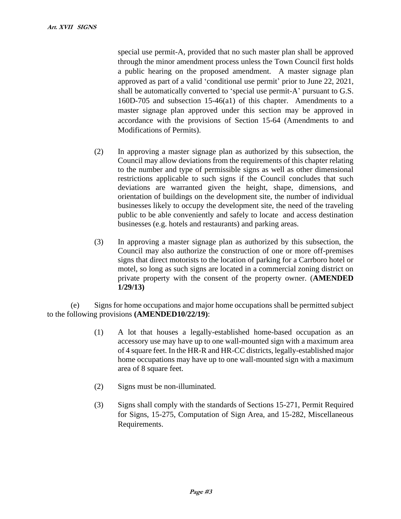special use permit-A, provided that no such master plan shall be approved through the minor amendment process unless the Town Council first holds a public hearing on the proposed amendment. A master signage plan approved as part of a valid 'conditional use permit' prior to June 22, 2021, shall be automatically converted to 'special use permit-A' pursuant to G.S. 160D-705 and subsection 15-46(a1) of this chapter. Amendments to a master signage plan approved under this section may be approved in accordance with the provisions of Section 15-64 (Amendments to and Modifications of Permits).

- (2) In approving a master signage plan as authorized by this subsection, the Council may allow deviations from the requirements of this chapter relating to the number and type of permissible signs as well as other dimensional restrictions applicable to such signs if the Council concludes that such deviations are warranted given the height, shape, dimensions, and orientation of buildings on the development site, the number of individual businesses likely to occupy the development site, the need of the traveling public to be able conveniently and safely to locate and access destination businesses (e.g. hotels and restaurants) and parking areas.
- (3) In approving a master signage plan as authorized by this subsection, the Council may also authorize the construction of one or more off-premises signs that direct motorists to the location of parking for a Carrboro hotel or motel, so long as such signs are located in a commercial zoning district on private property with the consent of the property owner. (**AMENDED 1/29/13)**

(e) Signs for home occupations and major home occupations shall be permitted subject to the following provisions **(AMENDED10/22/19)**:

- (1) A lot that houses a legally-established home-based occupation as an accessory use may have up to one wall-mounted sign with a maximum area of 4 square feet. In the HR-R and HR-CC districts, legally-established major home occupations may have up to one wall-mounted sign with a maximum area of 8 square feet.
- (2) Signs must be non-illuminated.
- (3) Signs shall comply with the standards of Sections 15-271, Permit Required for Signs, 15-275, Computation of Sign Area, and 15-282, Miscellaneous Requirements.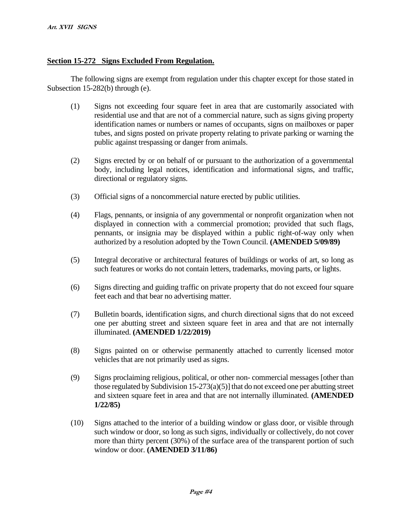#### **Section 15-272 Signs Excluded From Regulation.**

The following signs are exempt from regulation under this chapter except for those stated in Subsection 15-282(b) through (e).

- (1) Signs not exceeding four square feet in area that are customarily associated with residential use and that are not of a commercial nature, such as signs giving property identification names or numbers or names of occupants, signs on mailboxes or paper tubes, and signs posted on private property relating to private parking or warning the public against trespassing or danger from animals.
- (2) Signs erected by or on behalf of or pursuant to the authorization of a governmental body, including legal notices, identification and informational signs, and traffic, directional or regulatory signs.
- (3) Official signs of a noncommercial nature erected by public utilities.
- (4) Flags, pennants, or insignia of any governmental or nonprofit organization when not displayed in connection with a commercial promotion; provided that such flags, pennants, or insignia may be displayed within a public right-of-way only when authorized by a resolution adopted by the Town Council. **(AMENDED 5/09/89)**
- (5) Integral decorative or architectural features of buildings or works of art, so long as such features or works do not contain letters, trademarks, moving parts, or lights.
- (6) Signs directing and guiding traffic on private property that do not exceed four square feet each and that bear no advertising matter.
- (7) Bulletin boards, identification signs, and church directional signs that do not exceed one per abutting street and sixteen square feet in area and that are not internally illuminated. **(AMENDED 1/22/2019)**
- (8) Signs painted on or otherwise permanently attached to currently licensed motor vehicles that are not primarily used as signs.
- (9) Signs proclaiming religious, political, or other non- commercial messages [other than those regulated by Subdivision 15-273(a)(5)] that do not exceed one per abutting street and sixteen square feet in area and that are not internally illuminated. **(AMENDED 1/22/85)**
- (10) Signs attached to the interior of a building window or glass door, or visible through such window or door, so long as such signs, individually or collectively, do not cover more than thirty percent (30%) of the surface area of the transparent portion of such window or door. **(AMENDED 3/11/86)**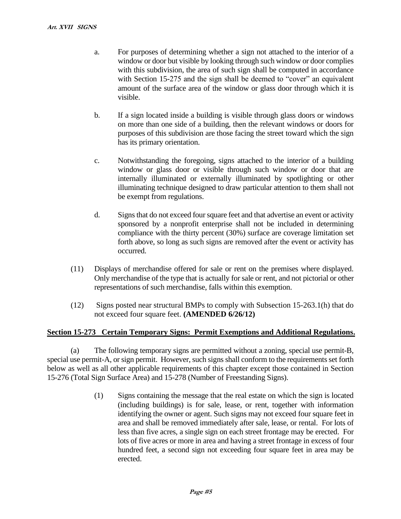- a. For purposes of determining whether a sign not attached to the interior of a window or door but visible by looking through such window or door complies with this subdivision, the area of such sign shall be computed in accordance with Section 15-275 and the sign shall be deemed to "cover" an equivalent amount of the surface area of the window or glass door through which it is visible.
- b. If a sign located inside a building is visible through glass doors or windows on more than one side of a building, then the relevant windows or doors for purposes of this subdivision are those facing the street toward which the sign has its primary orientation.
- c. Notwithstanding the foregoing, signs attached to the interior of a building window or glass door or visible through such window or door that are internally illuminated or externally illuminated by spotlighting or other illuminating technique designed to draw particular attention to them shall not be exempt from regulations.
- d. Signs that do not exceed four square feet and that advertise an event or activity sponsored by a nonprofit enterprise shall not be included in determining compliance with the thirty percent (30%) surface are coverage limitation set forth above, so long as such signs are removed after the event or activity has occurred.
- (11) Displays of merchandise offered for sale or rent on the premises where displayed. Only merchandise of the type that is actually for sale or rent, and not pictorial or other representations of such merchandise, falls within this exemption.
- (12) Signs posted near structural BMPs to comply with Subsection 15-263.1(h) that do not exceed four square feet. **(AMENDED 6/26/12)**

#### **Section 15-273 Certain Temporary Signs: Permit Exemptions and Additional Regulations.**

(a) The following temporary signs are permitted without a zoning, special use permit-B, special use permit-A, or sign permit. However, such signs shall conform to the requirements set forth below as well as all other applicable requirements of this chapter except those contained in Section 15-276 (Total Sign Surface Area) and 15-278 (Number of Freestanding Signs).

> (1) Signs containing the message that the real estate on which the sign is located (including buildings) is for sale, lease, or rent, together with information identifying the owner or agent. Such signs may not exceed four square feet in area and shall be removed immediately after sale, lease, or rental. For lots of less than five acres, a single sign on each street frontage may be erected. For lots of five acres or more in area and having a street frontage in excess of four hundred feet, a second sign not exceeding four square feet in area may be erected.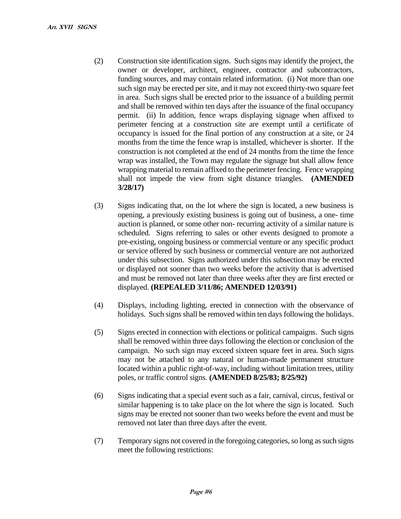- (2) Construction site identification signs. Such signs may identify the project, the owner or developer, architect, engineer, contractor and subcontractors, funding sources, and may contain related information. (i) Not more than one such sign may be erected per site, and it may not exceed thirty-two square feet in area. Such signs shall be erected prior to the issuance of a building permit and shall be removed within ten days after the issuance of the final occupancy permit. (ii) In addition, fence wraps displaying signage when affixed to perimeter fencing at a construction site are exempt until a certificate of occupancy is issued for the final portion of any construction at a site, or 24 months from the time the fence wrap is installed, whichever is shorter. If the construction is not completed at the end of 24 months from the time the fence wrap was installed, the Town may regulate the signage but shall allow fence wrapping material to remain affixed to the perimeter fencing. Fence wrapping shall not impede the view from sight distance triangles. **(AMENDED 3/28/17)**
- (3) Signs indicating that, on the lot where the sign is located, a new business is opening, a previously existing business is going out of business, a one- time auction is planned, or some other non- recurring activity of a similar nature is scheduled. Signs referring to sales or other events designed to promote a pre-existing, ongoing business or commercial venture or any specific product or service offered by such business or commercial venture are not authorized under this subsection. Signs authorized under this subsection may be erected or displayed not sooner than two weeks before the activity that is advertised and must be removed not later than three weeks after they are first erected or displayed. **(REPEALED 3/11/86; AMENDED 12/03/91)**
- (4) Displays, including lighting, erected in connection with the observance of holidays. Such signs shall be removed within ten days following the holidays.
- (5) Signs erected in connection with elections or political campaigns. Such signs shall be removed within three days following the election or conclusion of the campaign. No such sign may exceed sixteen square feet in area. Such signs may not be attached to any natural or human-made permanent structure located within a public right-of-way, including without limitation trees, utility poles, or traffic control signs. **(AMENDED 8/25/83; 8/25/92)**
- (6) Signs indicating that a special event such as a fair, carnival, circus, festival or similar happening is to take place on the lot where the sign is located. Such signs may be erected not sooner than two weeks before the event and must be removed not later than three days after the event.
- (7) Temporary signs not covered in the foregoing categories, so long as such signs meet the following restrictions: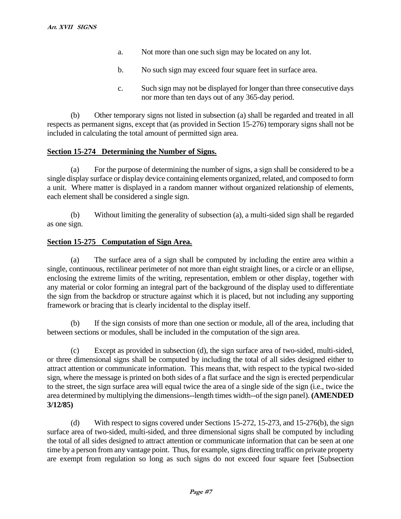- a. Not more than one such sign may be located on any lot.
- b. No such sign may exceed four square feet in surface area.
- c. Such sign may not be displayed for longer than three consecutive days nor more than ten days out of any 365-day period.

(b) Other temporary signs not listed in subsection (a) shall be regarded and treated in all respects as permanent signs, except that (as provided in Section 15-276) temporary signs shall not be included in calculating the total amount of permitted sign area.

### **Section 15-274 Determining the Number of Signs.**

(a) For the purpose of determining the number of signs, a sign shall be considered to be a single display surface or display device containing elements organized, related, and composed to form a unit. Where matter is displayed in a random manner without organized relationship of elements, each element shall be considered a single sign.

(b) Without limiting the generality of subsection (a), a multi-sided sign shall be regarded as one sign.

#### **Section 15-275 Computation of Sign Area.**

(a) The surface area of a sign shall be computed by including the entire area within a single, continuous, rectilinear perimeter of not more than eight straight lines, or a circle or an ellipse, enclosing the extreme limits of the writing, representation, emblem or other display, together with any material or color forming an integral part of the background of the display used to differentiate the sign from the backdrop or structure against which it is placed, but not including any supporting framework or bracing that is clearly incidental to the display itself.

(b) If the sign consists of more than one section or module, all of the area, including that between sections or modules, shall be included in the computation of the sign area.

(c) Except as provided in subsection (d), the sign surface area of two-sided, multi-sided, or three dimensional signs shall be computed by including the total of all sides designed either to attract attention or communicate information. This means that, with respect to the typical two-sided sign, where the message is printed on both sides of a flat surface and the sign is erected perpendicular to the street, the sign surface area will equal twice the area of a single side of the sign (i.e., twice the area determined by multiplying the dimensions--length times width--of the sign panel). **(AMENDED 3/12/85)**

(d) With respect to signs covered under Sections 15-272, 15-273, and 15-276(b), the sign surface area of two-sided, multi-sided, and three dimensional signs shall be computed by including the total of all sides designed to attract attention or communicate information that can be seen at one time by a person from any vantage point. Thus, for example, signs directing traffic on private property are exempt from regulation so long as such signs do not exceed four square feet [Subsection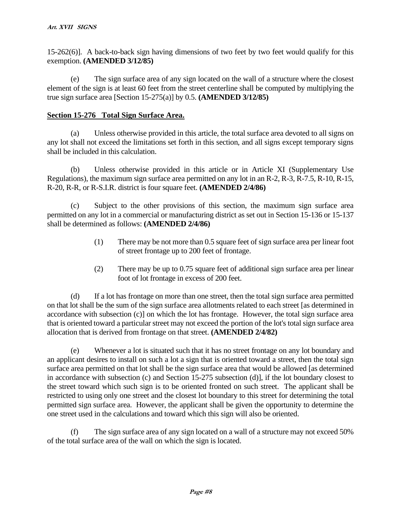15-262(6)]. A back-to-back sign having dimensions of two feet by two feet would qualify for this exemption. **(AMENDED 3/12/85)**

(e) The sign surface area of any sign located on the wall of a structure where the closest element of the sign is at least 60 feet from the street centerline shall be computed by multiplying the true sign surface area [Section 15-275(a)] by 0.5. **(AMENDED 3/12/85)**

### **Section 15-276 Total Sign Surface Area.**

(a) Unless otherwise provided in this article, the total surface area devoted to all signs on any lot shall not exceed the limitations set forth in this section, and all signs except temporary signs shall be included in this calculation.

(b) Unless otherwise provided in this article or in Article XI (Supplementary Use Regulations), the maximum sign surface area permitted on any lot in an R-2, R-3, R-7.5, R-10, R-15, R-20, R-R, or R-S.I.R. district is four square feet. **(AMENDED 2/4/86)**

(c) Subject to the other provisions of this section, the maximum sign surface area permitted on any lot in a commercial or manufacturing district as set out in Section 15-136 or 15-137 shall be determined as follows: **(AMENDED 2/4/86)**

- (1) There may be not more than 0.5 square feet of sign surface area per linear foot of street frontage up to 200 feet of frontage.
- (2) There may be up to 0.75 square feet of additional sign surface area per linear foot of lot frontage in excess of 200 feet.

(d) If a lot has frontage on more than one street, then the total sign surface area permitted on that lot shall be the sum of the sign surface area allotments related to each street [as determined in accordance with subsection (c)] on which the lot has frontage. However, the total sign surface area that is oriented toward a particular street may not exceed the portion of the lot's total sign surface area allocation that is derived from frontage on that street. **(AMENDED 2/4/82)**

(e) Whenever a lot is situated such that it has no street frontage on any lot boundary and an applicant desires to install on such a lot a sign that is oriented toward a street, then the total sign surface area permitted on that lot shall be the sign surface area that would be allowed [as determined in accordance with subsection (c) and Section 15-275 subsection (d)], if the lot boundary closest to the street toward which such sign is to be oriented fronted on such street. The applicant shall be restricted to using only one street and the closest lot boundary to this street for determining the total permitted sign surface area. However, the applicant shall be given the opportunity to determine the one street used in the calculations and toward which this sign will also be oriented.

(f) The sign surface area of any sign located on a wall of a structure may not exceed 50% of the total surface area of the wall on which the sign is located.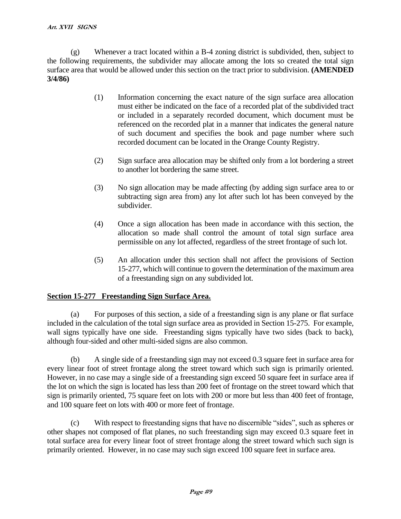(g) Whenever a tract located within a B-4 zoning district is subdivided, then, subject to the following requirements, the subdivider may allocate among the lots so created the total sign surface area that would be allowed under this section on the tract prior to subdivision. **(AMENDED 3/4/86)**

- (1) Information concerning the exact nature of the sign surface area allocation must either be indicated on the face of a recorded plat of the subdivided tract or included in a separately recorded document, which document must be referenced on the recorded plat in a manner that indicates the general nature of such document and specifies the book and page number where such recorded document can be located in the Orange County Registry.
- (2) Sign surface area allocation may be shifted only from a lot bordering a street to another lot bordering the same street.
- (3) No sign allocation may be made affecting (by adding sign surface area to or subtracting sign area from) any lot after such lot has been conveyed by the subdivider.
- (4) Once a sign allocation has been made in accordance with this section, the allocation so made shall control the amount of total sign surface area permissible on any lot affected, regardless of the street frontage of such lot.
- (5) An allocation under this section shall not affect the provisions of Section 15-277, which will continue to govern the determination of the maximum area of a freestanding sign on any subdivided lot.

## **Section 15-277 Freestanding Sign Surface Area.**

(a) For purposes of this section, a side of a freestanding sign is any plane or flat surface included in the calculation of the total sign surface area as provided in Section 15-275. For example, wall signs typically have one side. Freestanding signs typically have two sides (back to back), although four-sided and other multi-sided signs are also common.

(b) A single side of a freestanding sign may not exceed 0.3 square feet in surface area for every linear foot of street frontage along the street toward which such sign is primarily oriented. However, in no case may a single side of a freestanding sign exceed 50 square feet in surface area if the lot on which the sign is located has less than 200 feet of frontage on the street toward which that sign is primarily oriented, 75 square feet on lots with 200 or more but less than 400 feet of frontage, and 100 square feet on lots with 400 or more feet of frontage.

(c) With respect to freestanding signs that have no discernible "sides", such as spheres or other shapes not composed of flat planes, no such freestanding sign may exceed 0.3 square feet in total surface area for every linear foot of street frontage along the street toward which such sign is primarily oriented. However, in no case may such sign exceed 100 square feet in surface area.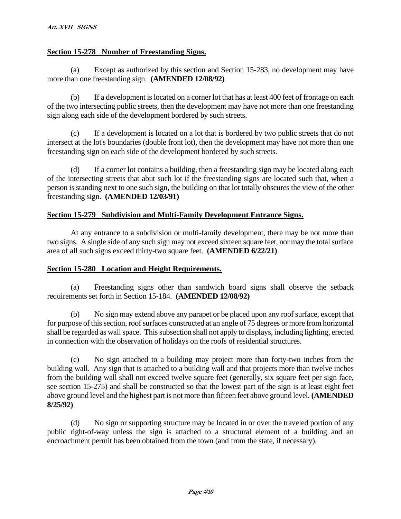## **Section 15-278 Number of Freestanding Signs.**

(a) Except as authorized by this section and Section 15-283, no development may have more than one freestanding sign. **(AMENDED 12/08/92)**

(b) If a development is located on a corner lot that has at least 400 feet of frontage on each of the two intersecting public streets, then the development may have not more than one freestanding sign along each side of the development bordered by such streets.

(c) If a development is located on a lot that is bordered by two public streets that do not intersect at the lot's boundaries (double front lot), then the development may have not more than one freestanding sign on each side of the development bordered by such streets.

(d) If a corner lot contains a building, then a freestanding sign may be located along each of the intersecting streets that abut such lot if the freestanding signs are located such that, when a person is standing next to one such sign, the building on that lot totally obscures the view of the other freestanding sign. **(AMENDED 12/03/91)**

### **Section 15-279 Subdivision and Multi-Family Development Entrance Signs.**

At any entrance to a subdivision or multi-family development, there may be not more than two signs. A single side of any such sign may not exceed sixteen square feet, nor may the total surface area of all such signs exceed thirty-two square feet. **(AMENDED 6/22/21)**

#### **Section 15-280 Location and Height Requirements.**

(a) Freestanding signs other than sandwich board signs shall observe the setback requirements set forth in Section 15-184. **(AMENDED 12/08/92)**

(b) No sign may extend above any parapet or be placed upon any roof surface, except that for purpose of this section, roof surfaces constructed at an angle of 75 degrees or more from horizontal shall be regarded as wall space. This subsection shall not apply to displays, including lighting, erected in connection with the observation of holidays on the roofs of residential structures.

(c) No sign attached to a building may project more than forty-two inches from the building wall. Any sign that is attached to a building wall and that projects more than twelve inches from the building wall shall not exceed twelve square feet (generally, six square feet per sign face, see section 15-275) and shall be constructed so that the lowest part of the sign is at least eight feet above ground level and the highest part is not more than fifteen feet above ground level. **(AMENDED 8/25/92)**

(d) No sign or supporting structure may be located in or over the traveled portion of any public right-of-way unless the sign is attached to a structural element of a building and an encroachment permit has been obtained from the town (and from the state, if necessary).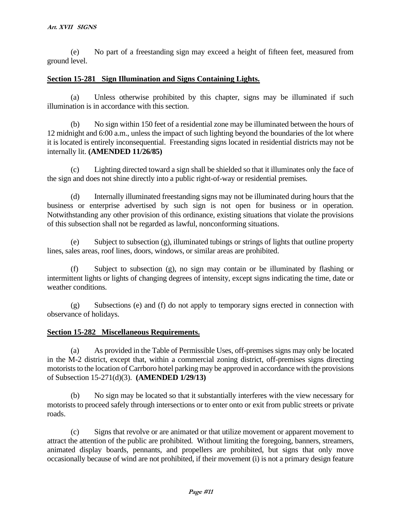(e) No part of a freestanding sign may exceed a height of fifteen feet, measured from ground level.

## **Section 15-281 Sign Illumination and Signs Containing Lights.**

(a) Unless otherwise prohibited by this chapter, signs may be illuminated if such illumination is in accordance with this section.

(b) No sign within 150 feet of a residential zone may be illuminated between the hours of 12 midnight and 6:00 a.m., unless the impact of such lighting beyond the boundaries of the lot where it is located is entirely inconsequential. Freestanding signs located in residential districts may not be internally lit. **(AMENDED 11/26/85)**

(c) Lighting directed toward a sign shall be shielded so that it illuminates only the face of the sign and does not shine directly into a public right-of-way or residential premises.

(d) Internally illuminated freestanding signs may not be illuminated during hours that the business or enterprise advertised by such sign is not open for business or in operation. Notwithstanding any other provision of this ordinance, existing situations that violate the provisions of this subsection shall not be regarded as lawful, nonconforming situations.

(e) Subject to subsection (g), illuminated tubings or strings of lights that outline property lines, sales areas, roof lines, doors, windows, or similar areas are prohibited.

(f) Subject to subsection (g), no sign may contain or be illuminated by flashing or intermittent lights or lights of changing degrees of intensity, except signs indicating the time, date or weather conditions.

(g) Subsections (e) and (f) do not apply to temporary signs erected in connection with observance of holidays.

#### **Section 15-282 Miscellaneous Requirements.**

(a) As provided in the Table of Permissible Uses, off-premises signs may only be located in the M-2 district, except that, within a commercial zoning district, off-premises signs directing motorists to the location of Carrboro hotel parking may be approved in accordance with the provisions of Subsection 15-271(d)(3). **(AMENDED 1/29/13)** 

(b) No sign may be located so that it substantially interferes with the view necessary for motorists to proceed safely through intersections or to enter onto or exit from public streets or private roads.

(c) Signs that revolve or are animated or that utilize movement or apparent movement to attract the attention of the public are prohibited. Without limiting the foregoing, banners, streamers, animated display boards, pennants, and propellers are prohibited, but signs that only move occasionally because of wind are not prohibited, if their movement (i) is not a primary design feature